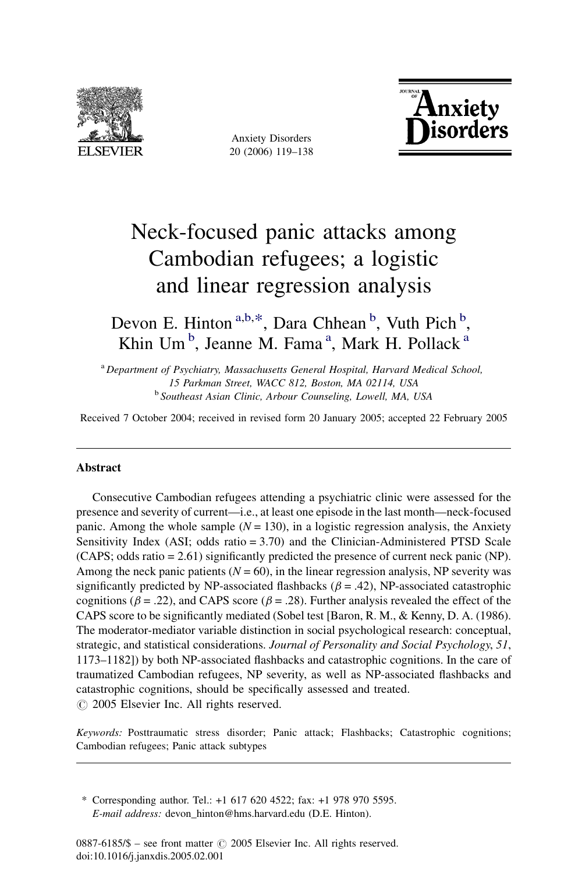

Anxiety Disorders 20 (2006) 119–138



# Neck-focused panic attacks among Cambodian refugees; a logistic and linear regression analysis

Devon E. Hinton<sup>a,b,\*</sup>, Dara Chhean<sup>b</sup>, Vuth Pich<sup>b</sup>, Khin Um<sup>b</sup>, Jeanne M. Fama<sup>a</sup>, Mark H. Pollack<sup>a</sup>

<sup>a</sup> Department of Psychiatry, Massachusetts General Hospital, Harvard Medical School, 15 Parkman Street, WACC 812, Boston, MA 02114, USA <sup>b</sup> Southeast Asian Clinic, Arbour Counseling, Lowell, MA, USA

Received 7 October 2004; received in revised form 20 January 2005; accepted 22 February 2005

#### Abstract

Consecutive Cambodian refugees attending a psychiatric clinic were assessed for the presence and severity of current—i.e., at least one episode in the last month—neck-focused panic. Among the whole sample ( $N = 130$ ), in a logistic regression analysis, the Anxiety Sensitivity Index (ASI; odds ratio = 3.70) and the Clinician-Administered PTSD Scale (CAPS; odds ratio = 2.61) significantly predicted the presence of current neck panic (NP). Among the neck panic patients ( $N = 60$ ), in the linear regression analysis, NP severity was significantly predicted by NP-associated flashbacks ( $\beta$  = .42), NP-associated catastrophic cognitions ( $\beta$  = .22), and CAPS score ( $\beta$  = .28). Further analysis revealed the effect of the CAPS score to be significantly mediated (Sobel test [Baron, R. M., & Kenny, D. A. (1986). The moderator-mediator variable distinction in social psychological research: conceptual, strategic, and statistical considerations. Journal of Personality and Social Psychology, 51, 1173–1182]) by both NP-associated flashbacks and catastrophic cognitions. In the care of traumatized Cambodian refugees, NP severity, as well as NP-associated flashbacks and catastrophic cognitions, should be specifically assessed and treated.  $\odot$  2005 Elsevier Inc. All rights reserved.

Keywords: Posttraumatic stress disorder; Panic attack; Flashbacks; Catastrophic cognitions; Cambodian refugees; Panic attack subtypes

\* Corresponding author. Tel.: +1 617 620 4522; fax: +1 978 970 5595. E-mail address: devon\_hinton@hms.harvard.edu (D.E. Hinton).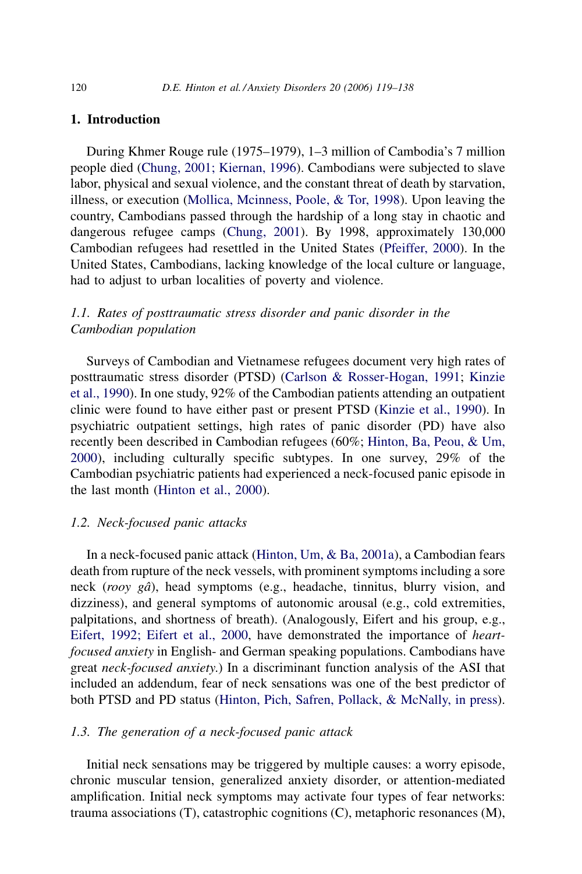#### 1. Introduction

During Khmer Rouge rule (1975–1979), 1–3 million of Cambodia's 7 million people died [\(Chung, 2001; Kiernan, 1996\)](#page--1-0). Cambodians were subjected to slave labor, physical and sexual violence, and the constant threat of death by starvation, illness, or execution [\(Mollica, Mcinness, Poole, & Tor, 1998\)](#page--1-0). Upon leaving the country, Cambodians passed through the hardship of a long stay in chaotic and dangerous refugee camps ([Chung, 2001](#page--1-0)). By 1998, approximately 130,000 Cambodian refugees had resettled in the United States [\(Pfeiffer, 2000](#page--1-0)). In the United States, Cambodians, lacking knowledge of the local culture or language, had to adjust to urban localities of poverty and violence.

## 1.1. Rates of posttraumatic stress disorder and panic disorder in the Cambodian population

Surveys of Cambodian and Vietnamese refugees document very high rates of posttraumatic stress disorder (PTSD) ([Carlson & Rosser-Hogan, 1991;](#page--1-0) [Kinzie](#page--1-0) [et al., 1990](#page--1-0)). In one study, 92% of the Cambodian patients attending an outpatient clinic were found to have either past or present PTSD [\(Kinzie et al., 1990\)](#page--1-0). In psychiatric outpatient settings, high rates of panic disorder (PD) have also recently been described in Cambodian refugees (60%; [Hinton, Ba, Peou, & Um,](#page--1-0) [2000](#page--1-0)), including culturally specific subtypes. In one survey, 29% of the Cambodian psychiatric patients had experienced a neck-focused panic episode in the last month [\(Hinton et al., 2000\)](#page--1-0).

#### 1.2. Neck-focused panic attacks

In a neck-focused panic attack [\(Hinton, Um, & Ba, 2001a\)](#page--1-0), a Cambodian fears death from rupture of the neck vessels, with prominent symptoms including a sore neck (rooy gâ), head symptoms (e.g., headache, tinnitus, blurry vision, and dizziness), and general symptoms of autonomic arousal (e.g., cold extremities, palpitations, and shortness of breath). (Analogously, Eifert and his group, e.g., [Eifert, 1992; Eifert et al., 2000](#page--1-0), have demonstrated the importance of heartfocused anxiety in English- and German speaking populations. Cambodians have great neck-focused anxiety.) In a discriminant function analysis of the ASI that included an addendum, fear of neck sensations was one of the best predictor of both PTSD and PD status ([Hinton, Pich, Safren, Pollack, & McNally, in press](#page--1-0)).

### 1.3. The generation of a neck-focused panic attack

Initial neck sensations may be triggered by multiple causes: a worry episode, chronic muscular tension, generalized anxiety disorder, or attention-mediated amplification. Initial neck symptoms may activate four types of fear networks: trauma associations (T), catastrophic cognitions (C), metaphoric resonances (M),